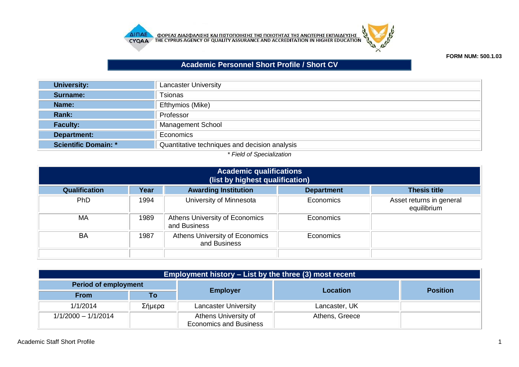



**FORM NUM: 500.1.03**

## **Academic Personnel Short Profile / Short CV**

| <b>University:</b>          | <b>Lancaster University</b>                   |  |  |  |
|-----------------------------|-----------------------------------------------|--|--|--|
| Surname:                    | Tsionas                                       |  |  |  |
| Name:                       | Efthymios (Mike)                              |  |  |  |
| Rank:                       | Professor                                     |  |  |  |
| <b>Faculty:</b>             | <b>Management School</b>                      |  |  |  |
| <b>Department:</b>          | Economics                                     |  |  |  |
| <b>Scientific Domain: *</b> | Quantitative techniques and decision analysis |  |  |  |
| $*$ $Fialal$ of $Onaialial$ |                                               |  |  |  |

## *\* Field of Specialization*

| <b>Academic qualifications</b><br>(list by highest qualification) |                     |                                                       |           |                                         |  |
|-------------------------------------------------------------------|---------------------|-------------------------------------------------------|-----------|-----------------------------------------|--|
| Qualification                                                     | <b>Thesis title</b> |                                                       |           |                                         |  |
| <b>PhD</b>                                                        | 1994                | University of Minnesota                               | Economics | Asset returns in general<br>equilibrium |  |
| MA                                                                | 1989                | <b>Athens University of Economics</b><br>and Business | Economics |                                         |  |
| <b>BA</b>                                                         | 1987                | <b>Athens University of Economics</b><br>and Business | Economics |                                         |  |
|                                                                   |                     |                                                       |           |                                         |  |

| <b>Employment history – List by the three (3) most recent</b> |        |                                                       |                |                 |  |  |
|---------------------------------------------------------------|--------|-------------------------------------------------------|----------------|-----------------|--|--|
| <b>Period of employment</b>                                   |        |                                                       | Location       | <b>Position</b> |  |  |
| <b>From</b>                                                   | То     | <b>Employer</b>                                       |                |                 |  |  |
| 1/1/2014                                                      | Σήμερα | <b>Lancaster University</b>                           | Lancaster, UK  |                 |  |  |
| $1/1/2000 - 1/1/2014$                                         |        | Athens University of<br><b>Economics and Business</b> | Athens, Greece |                 |  |  |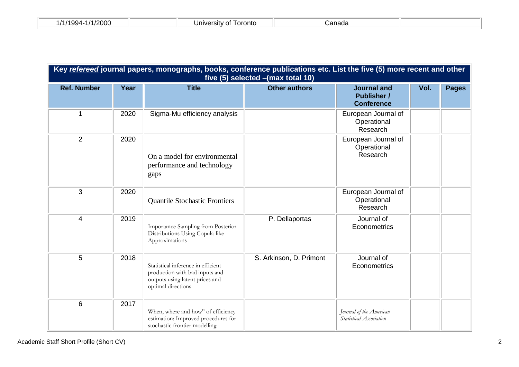| Key refereed journal papers, monographs, books, conference publications etc. List the five (5) more recent and other<br>five (5) selected - (max total 10) |      |                                                                                                                               |                         |                                                               |      |              |  |
|------------------------------------------------------------------------------------------------------------------------------------------------------------|------|-------------------------------------------------------------------------------------------------------------------------------|-------------------------|---------------------------------------------------------------|------|--------------|--|
| <b>Ref. Number</b>                                                                                                                                         | Year | <b>Title</b>                                                                                                                  | <b>Other authors</b>    | <b>Journal and</b><br><b>Publisher /</b><br><b>Conference</b> | Vol. | <b>Pages</b> |  |
| 1                                                                                                                                                          | 2020 | Sigma-Mu efficiency analysis                                                                                                  |                         | European Journal of<br>Operational<br>Research                |      |              |  |
| $\overline{2}$                                                                                                                                             | 2020 | On a model for environmental<br>performance and technology<br>gaps                                                            |                         | European Journal of<br>Operational<br>Research                |      |              |  |
| 3                                                                                                                                                          | 2020 | <b>Quantile Stochastic Frontiers</b>                                                                                          |                         | European Journal of<br>Operational<br>Research                |      |              |  |
| 4                                                                                                                                                          | 2019 | Importance Sampling from Posterior<br>Distributions Using Copula-like<br>Approximations                                       | P. Dellaportas          | Journal of<br>Econometrics                                    |      |              |  |
| 5                                                                                                                                                          | 2018 | Statistical inference in efficient<br>production with bad inputs and<br>outputs using latent prices and<br>optimal directions | S. Arkinson, D. Primont | Journal of<br>Econometrics                                    |      |              |  |
| 6                                                                                                                                                          | 2017 | When, where and how" of efficiency<br>estimation: Improved procedures for<br>stochastic frontier modelling                    |                         | Journal of the American<br>Statistical Association            |      |              |  |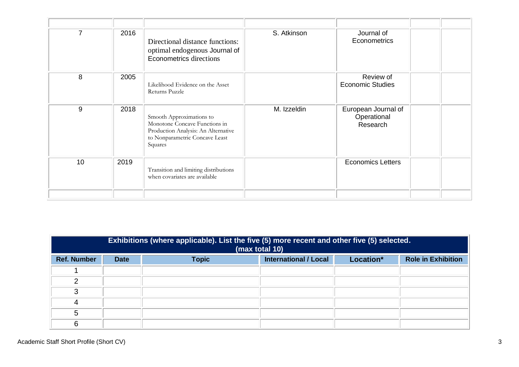| $\overline{7}$ | 2016 | Directional distance functions:<br>optimal endogenous Journal of<br>Econometrics directions                                                   | S. Atkinson | Journal of<br>Econometrics                     |  |
|----------------|------|-----------------------------------------------------------------------------------------------------------------------------------------------|-------------|------------------------------------------------|--|
| 8              | 2005 | Likelihood Evidence on the Asset<br>Returns Puzzle                                                                                            |             | Review of<br><b>Economic Studies</b>           |  |
| 9              | 2018 | Smooth Approximations to<br>Monotone Concave Functions in<br>Production Analysis: An Alternative<br>to Nonparametric Concave Least<br>Squares | M. Izzeldin | European Journal of<br>Operational<br>Research |  |
| 10             | 2019 | Transition and limiting distributions<br>when covariates are available                                                                        |             | <b>Economics Letters</b>                       |  |

|                    | Exhibitions (where applicable). List the five (5) more recent and other five (5) selected.<br>(max total 10) |              |                              |           |                           |
|--------------------|--------------------------------------------------------------------------------------------------------------|--------------|------------------------------|-----------|---------------------------|
| <b>Ref. Number</b> | <b>Date</b>                                                                                                  | <b>Topic</b> | <b>International / Local</b> | Location* | <b>Role in Exhibition</b> |
|                    |                                                                                                              |              |                              |           |                           |
| ◠                  |                                                                                                              |              |                              |           |                           |
| 3                  |                                                                                                              |              |                              |           |                           |
| 4                  |                                                                                                              |              |                              |           |                           |
| 5                  |                                                                                                              |              |                              |           |                           |
| 6                  |                                                                                                              |              |                              |           |                           |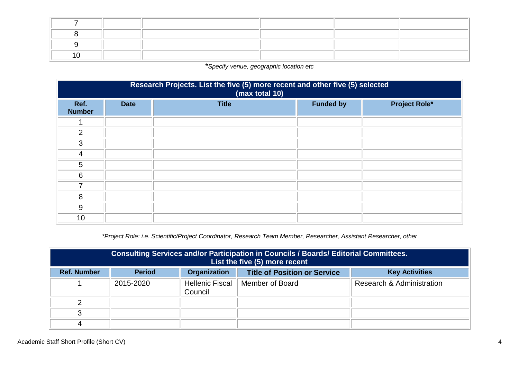\**Specify venue, geographic location etc*

| Research Projects. List the five (5) more recent and other five (5) selected<br>(max total 10) |             |              |                  |                      |  |  |
|------------------------------------------------------------------------------------------------|-------------|--------------|------------------|----------------------|--|--|
| Ref.<br><b>Number</b>                                                                          | <b>Date</b> | <b>Title</b> | <b>Funded by</b> | <b>Project Role*</b> |  |  |
|                                                                                                |             |              |                  |                      |  |  |
| 2                                                                                              |             |              |                  |                      |  |  |
| 3                                                                                              |             |              |                  |                      |  |  |
| $\overline{4}$                                                                                 |             |              |                  |                      |  |  |
| 5                                                                                              |             |              |                  |                      |  |  |
| 6                                                                                              |             |              |                  |                      |  |  |
| 7                                                                                              |             |              |                  |                      |  |  |
| 8                                                                                              |             |              |                  |                      |  |  |
| 9                                                                                              |             |              |                  |                      |  |  |
| 10                                                                                             |             |              |                  |                      |  |  |

*\*Project Role: i.e. Scientific/Project Coordinator, Research Team Member, Researcher, Assistant Researcher, other*

| <b>Consulting Services and/or Participation in Councils / Boards/ Editorial Committees.</b><br>List the five (5) more recent |               |                                   |                                     |                           |
|------------------------------------------------------------------------------------------------------------------------------|---------------|-----------------------------------|-------------------------------------|---------------------------|
| <b>Ref. Number</b>                                                                                                           | <b>Period</b> | <b>Organization</b>               | <b>Title of Position or Service</b> | <b>Key Activities</b>     |
|                                                                                                                              | 2015-2020     | <b>Hellenic Fiscal</b><br>Council | Member of Board                     | Research & Administration |
|                                                                                                                              |               |                                   |                                     |                           |
|                                                                                                                              |               |                                   |                                     |                           |
|                                                                                                                              |               |                                   |                                     |                           |